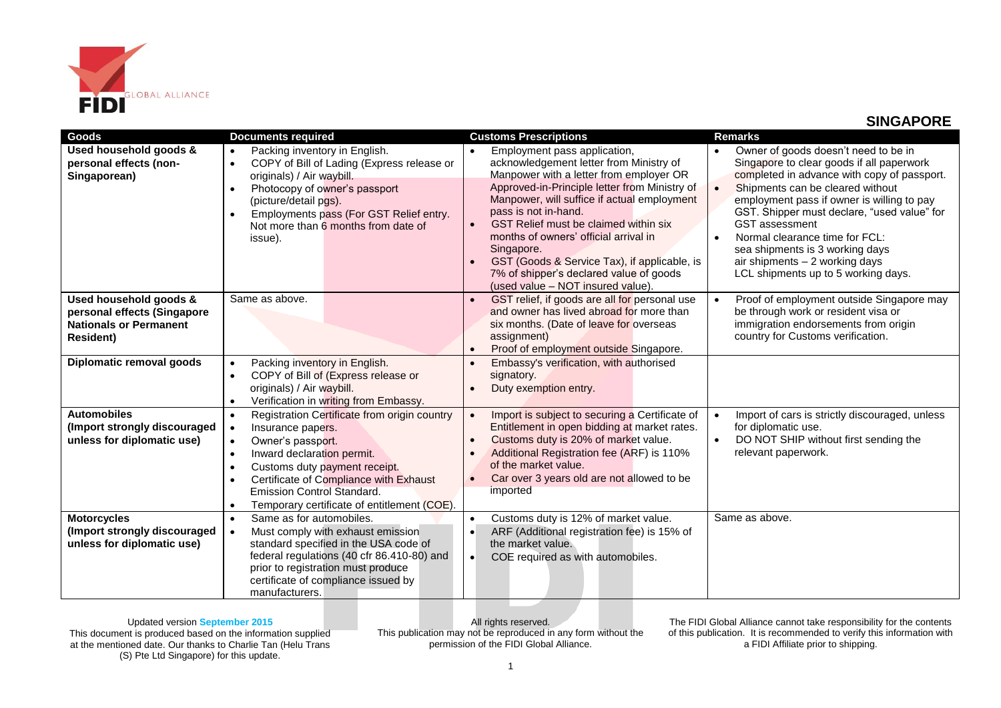

## **SINGAPORE**

| Goods                                                            | <b>Documents required</b>                                                                                                                                                                                                                                                                                           | <b>Customs Prescriptions</b>                                                                                                                                                                                                                                                                                                                                                                                                                                                           | <b>Remarks</b>                                                                                                                                                                                                                                                                                                                                                                                                                                                                  |
|------------------------------------------------------------------|---------------------------------------------------------------------------------------------------------------------------------------------------------------------------------------------------------------------------------------------------------------------------------------------------------------------|----------------------------------------------------------------------------------------------------------------------------------------------------------------------------------------------------------------------------------------------------------------------------------------------------------------------------------------------------------------------------------------------------------------------------------------------------------------------------------------|---------------------------------------------------------------------------------------------------------------------------------------------------------------------------------------------------------------------------------------------------------------------------------------------------------------------------------------------------------------------------------------------------------------------------------------------------------------------------------|
| Used household goods &<br>personal effects (non-<br>Singaporean) | Packing inventory in English.<br>$\bullet$<br>COPY of Bill of Lading (Express release or<br>$\bullet$<br>originals) / Air waybill.<br>Photocopy of owner's passport<br>$\bullet$<br>(picture/detail pgs).<br>Employments pass (For GST Relief entry.<br>$\bullet$<br>Not more than 6 months from date of<br>issue). | Employment pass application,<br>acknowledgement letter from Ministry of<br>Manpower with a letter from employer OR<br>Approved-in-Principle letter from Ministry of<br>Manpower, will suffice if actual employment<br>pass is not in-hand.<br>GST Relief must be claimed within six<br>$\bullet$<br>months of owners' official arrival in<br>Singapore.<br>GST (Goods & Service Tax), if applicable, is<br>7% of shipper's declared value of goods<br>(used value - NOT insured value) | Owner of goods doesn't need to be in<br>$\bullet$<br>Singapore to clear goods if all paperwork<br>completed in advance with copy of passport.<br>Shipments can be cleared without<br>$\bullet$<br>employment pass if owner is willing to pay<br>GST. Shipper must declare, "used value" for<br><b>GST</b> assessment<br>Normal clearance time for FCL:<br>$\bullet$<br>sea shipments is 3 working days<br>air shipments - 2 working days<br>LCL shipments up to 5 working days. |
| Used household goods &                                           | Same as above.                                                                                                                                                                                                                                                                                                      | GST relief, if goods are all for personal use                                                                                                                                                                                                                                                                                                                                                                                                                                          | Proof of employment outside Singapore may<br>$\bullet$                                                                                                                                                                                                                                                                                                                                                                                                                          |
| personal effects (Singapore                                      |                                                                                                                                                                                                                                                                                                                     | and owner has lived abroad for more than                                                                                                                                                                                                                                                                                                                                                                                                                                               | be through work or resident visa or                                                                                                                                                                                                                                                                                                                                                                                                                                             |
| <b>Nationals or Permanent</b>                                    |                                                                                                                                                                                                                                                                                                                     | six months. (Date of leave for overseas                                                                                                                                                                                                                                                                                                                                                                                                                                                | immigration endorsements from origin                                                                                                                                                                                                                                                                                                                                                                                                                                            |
| <b>Resident)</b>                                                 |                                                                                                                                                                                                                                                                                                                     | assignment)                                                                                                                                                                                                                                                                                                                                                                                                                                                                            | country for Customs verification.                                                                                                                                                                                                                                                                                                                                                                                                                                               |
|                                                                  |                                                                                                                                                                                                                                                                                                                     | Proof of employment outside Singapore.                                                                                                                                                                                                                                                                                                                                                                                                                                                 |                                                                                                                                                                                                                                                                                                                                                                                                                                                                                 |
| Diplomatic removal goods                                         | Packing inventory in English.<br>$\bullet$                                                                                                                                                                                                                                                                          | Embassy's verification, with authorised                                                                                                                                                                                                                                                                                                                                                                                                                                                |                                                                                                                                                                                                                                                                                                                                                                                                                                                                                 |
|                                                                  | COPY of Bill of (Express release or<br>$\bullet$                                                                                                                                                                                                                                                                    | signatory.                                                                                                                                                                                                                                                                                                                                                                                                                                                                             |                                                                                                                                                                                                                                                                                                                                                                                                                                                                                 |
|                                                                  | originals) / Air waybill.                                                                                                                                                                                                                                                                                           | Duty exemption entry.                                                                                                                                                                                                                                                                                                                                                                                                                                                                  |                                                                                                                                                                                                                                                                                                                                                                                                                                                                                 |
|                                                                  | Verification in writing from Embassy.<br>$\bullet$                                                                                                                                                                                                                                                                  |                                                                                                                                                                                                                                                                                                                                                                                                                                                                                        |                                                                                                                                                                                                                                                                                                                                                                                                                                                                                 |
| <b>Automobiles</b>                                               | Registration Certificate from origin country<br>$\bullet$                                                                                                                                                                                                                                                           | Import is subject to securing a Certificate of<br>$\bullet$                                                                                                                                                                                                                                                                                                                                                                                                                            | Import of cars is strictly discouraged, unless<br>$\bullet$                                                                                                                                                                                                                                                                                                                                                                                                                     |
| (Import strongly discouraged                                     | Insurance papers.<br>$\bullet$                                                                                                                                                                                                                                                                                      | Entitlement in open bidding at market rates.                                                                                                                                                                                                                                                                                                                                                                                                                                           | for diplomatic use.                                                                                                                                                                                                                                                                                                                                                                                                                                                             |
| unless for diplomatic use)                                       | Owner's passport.<br>$\bullet$                                                                                                                                                                                                                                                                                      | Customs duty is 20% of market value.                                                                                                                                                                                                                                                                                                                                                                                                                                                   | DO NOT SHIP without first sending the<br>$\bullet$                                                                                                                                                                                                                                                                                                                                                                                                                              |
|                                                                  | Inward declaration permit.<br>$\bullet$                                                                                                                                                                                                                                                                             | Additional Registration fee (ARF) is 110%<br>of the market value.                                                                                                                                                                                                                                                                                                                                                                                                                      | relevant paperwork.                                                                                                                                                                                                                                                                                                                                                                                                                                                             |
|                                                                  | Customs duty payment receipt.<br>$\bullet$<br>Certificate of Compliance with Exhaust                                                                                                                                                                                                                                | Car over 3 years old are not allowed to be                                                                                                                                                                                                                                                                                                                                                                                                                                             |                                                                                                                                                                                                                                                                                                                                                                                                                                                                                 |
|                                                                  | Emission Control Standard.                                                                                                                                                                                                                                                                                          | imported                                                                                                                                                                                                                                                                                                                                                                                                                                                                               |                                                                                                                                                                                                                                                                                                                                                                                                                                                                                 |
|                                                                  | Temporary certificate of entitlement (COE).<br>$\bullet$                                                                                                                                                                                                                                                            |                                                                                                                                                                                                                                                                                                                                                                                                                                                                                        |                                                                                                                                                                                                                                                                                                                                                                                                                                                                                 |
| <b>Motorcycles</b>                                               | Same as for automobiles.<br>$\bullet$                                                                                                                                                                                                                                                                               | Customs duty is 12% of market value.<br>$\bullet$                                                                                                                                                                                                                                                                                                                                                                                                                                      | Same as above.                                                                                                                                                                                                                                                                                                                                                                                                                                                                  |
| (Import strongly discouraged                                     | Must comply with exhaust emission<br>$\bullet$                                                                                                                                                                                                                                                                      | ARF (Additional registration fee) is 15% of                                                                                                                                                                                                                                                                                                                                                                                                                                            |                                                                                                                                                                                                                                                                                                                                                                                                                                                                                 |
| unless for diplomatic use)                                       | standard specified in the USA code of                                                                                                                                                                                                                                                                               | the market value.                                                                                                                                                                                                                                                                                                                                                                                                                                                                      |                                                                                                                                                                                                                                                                                                                                                                                                                                                                                 |
|                                                                  | federal regulations (40 cfr 86.410-80) and                                                                                                                                                                                                                                                                          | COE required as with automobiles.<br>$\bullet$                                                                                                                                                                                                                                                                                                                                                                                                                                         |                                                                                                                                                                                                                                                                                                                                                                                                                                                                                 |
|                                                                  | prior to registration must produce                                                                                                                                                                                                                                                                                  |                                                                                                                                                                                                                                                                                                                                                                                                                                                                                        |                                                                                                                                                                                                                                                                                                                                                                                                                                                                                 |
|                                                                  | certificate of compliance issued by                                                                                                                                                                                                                                                                                 |                                                                                                                                                                                                                                                                                                                                                                                                                                                                                        |                                                                                                                                                                                                                                                                                                                                                                                                                                                                                 |
|                                                                  | manufacturers.                                                                                                                                                                                                                                                                                                      |                                                                                                                                                                                                                                                                                                                                                                                                                                                                                        |                                                                                                                                                                                                                                                                                                                                                                                                                                                                                 |

## Updated version **September 2015**

This document is produced based on the information supplied at the mentioned date. Our thanks to Charlie Tan (Helu Trans (S) Pte Ltd Singapore) for this update.

All rights reserved. This publication may not be reproduced in any form without the permission of the FIDI Global Alliance.

The FIDI Global Alliance cannot take responsibility for the contents of this publication. It is recommended to verify this information with a FIDI Affiliate prior to shipping.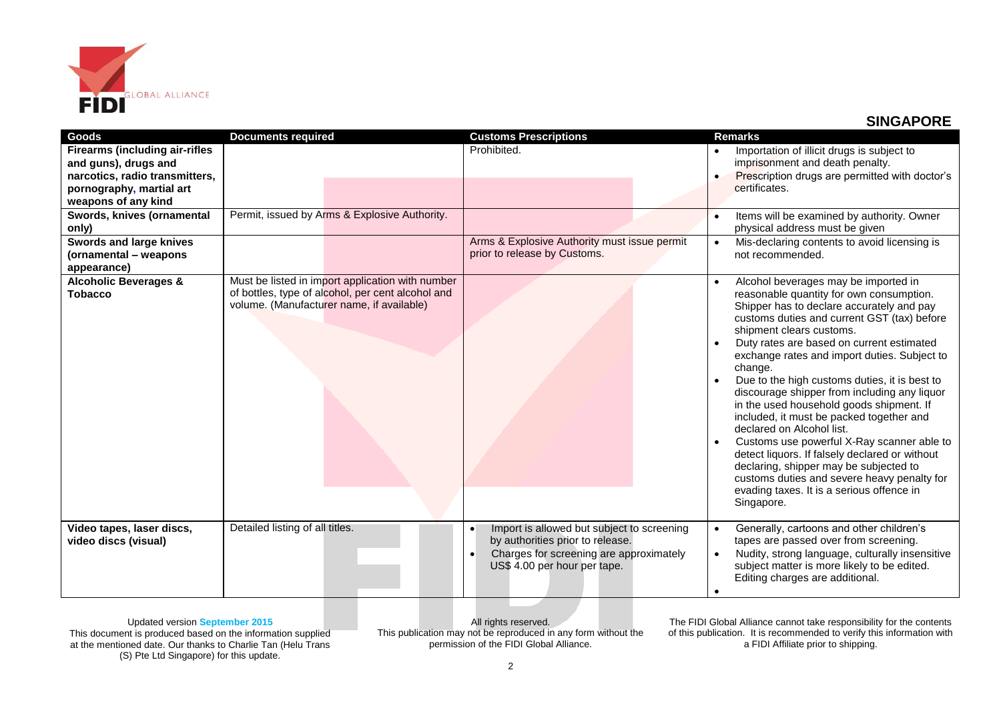

## **SINGAPORE**

| <b>Goods</b>                                                                                                                                       | <b>Documents required</b>                                                                                                                          | <b>Customs Prescriptions</b>                                                                                                                                           | <b>Remarks</b>                                                                                                                                                                                                                                                                                                                                                                                                                                                                                                                                                                                                                                                                                                                                                                                                                    |
|----------------------------------------------------------------------------------------------------------------------------------------------------|----------------------------------------------------------------------------------------------------------------------------------------------------|------------------------------------------------------------------------------------------------------------------------------------------------------------------------|-----------------------------------------------------------------------------------------------------------------------------------------------------------------------------------------------------------------------------------------------------------------------------------------------------------------------------------------------------------------------------------------------------------------------------------------------------------------------------------------------------------------------------------------------------------------------------------------------------------------------------------------------------------------------------------------------------------------------------------------------------------------------------------------------------------------------------------|
| <b>Firearms (including air-rifles</b><br>and guns), drugs and<br>narcotics, radio transmitters,<br>pornography, martial art<br>weapons of any kind |                                                                                                                                                    | Prohibited.                                                                                                                                                            | Importation of illicit drugs is subject to<br>imprisonment and death penalty.<br>Prescription drugs are permitted with doctor's<br>$\bullet$<br>certificates.                                                                                                                                                                                                                                                                                                                                                                                                                                                                                                                                                                                                                                                                     |
| Swords, knives (ornamental<br>only)                                                                                                                | Permit, issued by Arms & Explosive Authority.                                                                                                      |                                                                                                                                                                        | Items will be examined by authority. Owner<br>physical address must be given                                                                                                                                                                                                                                                                                                                                                                                                                                                                                                                                                                                                                                                                                                                                                      |
| <b>Swords and large knives</b><br>(ornamental – weapons<br>appearance)                                                                             |                                                                                                                                                    | Arms & Explosive Authority must issue permit<br>prior to release by Customs.                                                                                           | Mis-declaring contents to avoid licensing is<br>$\bullet$<br>not recommended.                                                                                                                                                                                                                                                                                                                                                                                                                                                                                                                                                                                                                                                                                                                                                     |
| <b>Alcoholic Beverages &amp;</b><br><b>Tobacco</b>                                                                                                 | Must be listed in import application with number<br>of bottles, type of alcohol, per cent alcohol and<br>volume. (Manufacturer name, if available) |                                                                                                                                                                        | Alcohol beverages may be imported in<br>$\bullet$<br>reasonable quantity for own consumption.<br>Shipper has to declare accurately and pay<br>customs duties and current GST (tax) before<br>shipment clears customs.<br>Duty rates are based on current estimated<br>$\bullet$<br>exchange rates and import duties. Subject to<br>change.<br>Due to the high customs duties, it is best to<br>$\bullet$<br>discourage shipper from including any liquor<br>in the used household goods shipment. If<br>included, it must be packed together and<br>declared on Alcohol list.<br>Customs use powerful X-Ray scanner able to<br>detect liquors. If falsely declared or without<br>declaring, shipper may be subjected to<br>customs duties and severe heavy penalty for<br>evading taxes. It is a serious offence in<br>Singapore. |
| Video tapes, laser discs,<br>video discs (visual)                                                                                                  | Detailed listing of all titles.                                                                                                                    | Import is allowed but subject to screening<br>$\bullet$<br>by authorities prior to release.<br>Charges for screening are approximately<br>US\$ 4.00 per hour per tape. | Generally, cartoons and other children's<br>$\bullet$<br>tapes are passed over from screening.<br>Nudity, strong language, culturally insensitive<br>$\bullet$<br>subject matter is more likely to be edited.<br>Editing charges are additional.                                                                                                                                                                                                                                                                                                                                                                                                                                                                                                                                                                                  |

Updated version **September 2015** This document is produced based on the information supplied at the mentioned date. Our thanks to Charlie Tan (Helu Trans (S) Pte Ltd Singapore) for this update.

All rights reserved. This publication may not be reproduced in any form without the permission of the FIDI Global Alliance.

The FIDI Global Alliance cannot take responsibility for the contents of this publication. It is recommended to verify this information with a FIDI Affiliate prior to shipping.